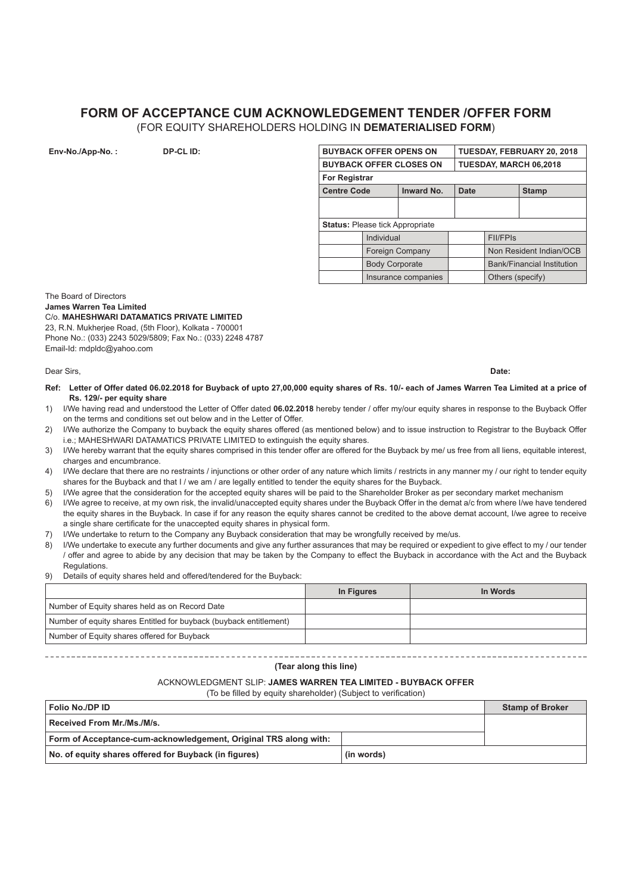### **FORM OF ACCEPTANCE CUM ACKNOWLEDGEMENT TENDER /OFFER FORM** (FOR EQUITY SHAREHOLDERS HOLDING IN **DEMATERIALISED FORM**)

| <b>BUYBACK OFFER OPENS ON</b>          |                       |                   |             | TUESDAY, FEBRUARY 20, 2018        |              |  |
|----------------------------------------|-----------------------|-------------------|-------------|-----------------------------------|--------------|--|
| <b>BUYBACK OFFER CLOSES ON</b>         |                       |                   |             | TUESDAY, MARCH 06,2018            |              |  |
|                                        | <b>For Registrar</b>  |                   |             |                                   |              |  |
| <b>Centre Code</b>                     |                       | <b>Inward No.</b> | <b>Date</b> |                                   | <b>Stamp</b> |  |
|                                        |                       |                   |             |                                   |              |  |
|                                        |                       |                   |             |                                   |              |  |
| <b>Status: Please tick Appropriate</b> |                       |                   |             |                                   |              |  |
|                                        | Individual            |                   |             | <b>FII/FPIS</b>                   |              |  |
|                                        | Foreign Company       |                   |             | Non Resident Indian/OCB           |              |  |
|                                        | <b>Body Corporate</b> |                   |             | <b>Bank/Financial Institution</b> |              |  |
|                                        | Insurance companies   |                   |             | Others (specify)                  |              |  |

The Board of Directors **James Warren Tea Limited** C/o. **MAHESHWARI DATAMATICS PRIVATE LIMITED** 23, R.N. Mukherjee Road, (5th Floor), Kolkata - 700001 Phone No.: (033) 2243 5029/5809; Fax No.: (033) 2248 4787

**Env-No./App-No. : BUYBACK OFF-CL ID:** 

Dear Sirs, **Date:**

Email-Id: mdpldc@yahoo.com

- **Ref: Letter of Offer dated 06.02.2018 for Buyback of upto 27,00,000 equity shares of Rs. 10/- each of James Warren Tea Limited at a price of Rs. 129/- per equity share**
- 1) I/We having read and understood the Letter of Offer dated **06.02.2018** hereby tender / offer my/our equity shares in response to the Buyback Offer on the terms and conditions set out below and in the Letter of Offer.
- 2) I/We authorize the Company to buyback the equity shares offered (as mentioned below) and to issue instruction to Registrar to the Buyback Offer i.e.; MAHESHWARI DATAMATICS PRIVATE LIMITED to extinguish the equity shares.
- 3) I/We hereby warrant that the equity shares comprised in this tender offer are offered for the Buyback by me/ us free from all liens, equitable interest, charges and encumbrance.
- 4) I/We declare that there are no restraints / injunctions or other order of any nature which limits / restricts in any manner my / our right to tender equity shares for the Buyback and that I / we am / are legally entitled to tender the equity shares for the Buyback.
- 5) I/We agree that the consideration for the accepted equity shares will be paid to the Shareholder Broker as per secondary market mechanism
- 6) I/We agree to receive, at my own risk, the invalid/unaccepted equity shares under the Buyback Offer in the demat a/c from where I/we have tendered the equity shares in the Buyback. In case if for any reason the equity shares cannot be credited to the above demat account, I/we agree to receive a single share certificate for the unaccepted equity shares in physical form.
- 7) I/We undertake to return to the Company any Buyback consideration that may be wrongfully received by me/us.
- 8) I/We undertake to execute any further documents and give any further assurances that may be required or expedient to give effect to my / our tender / offer and agree to abide by any decision that may be taken by the Company to effect the Buyback in accordance with the Act and the Buyback **Regulations**
- 9) Details of equity shares held and offered/tendered for the Buyback:

|                                                                    | In Figures | In Words |
|--------------------------------------------------------------------|------------|----------|
| Number of Equity shares held as on Record Date                     |            |          |
| Number of equity shares Entitled for buyback (buyback entitlement) |            |          |
| Number of Equity shares offered for Buyback                        |            |          |

## 

### **(Tear along this line)**

# ACKNOWLEDGMENT SLIP: **JAMES WARREN TEA LIMITED - BUYBACK OFFER**

(To be filled by equity shareholder) (Subject to verification)

| Folio No./DP ID                                                  |            | <b>Stamp of Broker</b> |
|------------------------------------------------------------------|------------|------------------------|
| Received From Mr./Ms./M/s.                                       |            |                        |
| Form of Acceptance-cum-acknowledgement, Original TRS along with: |            |                        |
| No. of equity shares offered for Buyback (in figures)            | (in words) |                        |